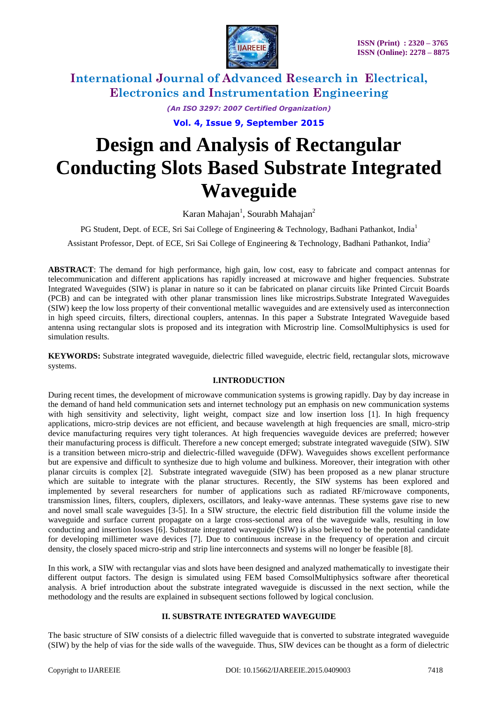

*(An ISO 3297: 2007 Certified Organization)*

**Vol. 4, Issue 9, September 2015**

# **Design and Analysis of Rectangular Conducting Slots Based Substrate Integrated Waveguide**

Karan Mahajan<sup>1</sup>, Sourabh Mahajan<sup>2</sup>

PG Student, Dept. of ECE, Sri Sai College of Engineering & Technology, Badhani Pathankot, India<sup>1</sup>

Assistant Professor, Dept. of ECE, Sri Sai College of Engineering & Technology, Badhani Pathankot, India<sup>2</sup>

**ABSTRACT**: The demand for high performance, high gain, low cost, easy to fabricate and compact antennas for telecommunication and different applications has rapidly increased at microwave and higher frequencies. Substrate Integrated Waveguides (SIW) is planar in nature so it can be fabricated on planar circuits like Printed Circuit Boards (PCB) and can be integrated with other planar transmission lines like microstrips.Substrate Integrated Waveguides (SIW) keep the low loss property of their conventional metallic waveguides and are extensively used as interconnection in high speed circuits, filters, directional couplers, antennas. In this paper a Substrate Integrated Waveguide based antenna using rectangular slots is proposed and its integration with Microstrip line. ComsolMultiphysics is used for simulation results.

**KEYWORDS:** Substrate integrated waveguide, dielectric filled waveguide, electric field, rectangular slots, microwave systems.

### **I.INTRODUCTION**

During recent times, the development of microwave communication systems is growing rapidly. Day by day increase in the demand of hand held communication sets and internet technology put an emphasis on new communication systems with high sensitivity and selectivity, light weight, compact size and low insertion loss [1]. In high frequency applications, micro-strip devices are not efficient, and because wavelength at high frequencies are small, micro-strip device manufacturing requires very tight tolerances. At high frequencies waveguide devices are preferred; however their manufacturing process is difficult. Therefore a new concept emerged; substrate integrated waveguide (SIW). SIW is a transition between micro-strip and dielectric-filled waveguide (DFW). Waveguides shows excellent performance but are expensive and difficult to synthesize due to high volume and bulkiness. Moreover, their integration with other planar circuits is complex [2]. Substrate integrated waveguide (SIW) has been proposed as a new planar structure which are suitable to integrate with the planar structures. Recently, the SIW systems has been explored and implemented by several researchers for number of applications such as radiated RF/microwave components, transmission lines, filters, couplers, diplexers, oscillators, and leaky-wave antennas. These systems gave rise to new and novel small scale waveguides [3-5]. In a SIW structure, the electric field distribution fill the volume inside the waveguide and surface current propagate on a large cross-sectional area of the waveguide walls, resulting in low conducting and insertion losses [6]. Substrate integrated waveguide (SIW) is also believed to be the potential candidate for developing millimeter wave devices [7]. Due to continuous increase in the frequency of operation and circuit density, the closely spaced micro-strip and strip line interconnects and systems will no longer be feasible [8].

In this work, a SIW with rectangular vias and slots have been designed and analyzed mathematically to investigate their different output factors. The design is simulated using FEM based ComsolMultiphysics software after theoretical analysis. A brief introduction about the substrate integrated waveguide is discussed in the next section, while the methodology and the results are explained in subsequent sections followed by logical conclusion.

### **II. SUBSTRATE INTEGRATED WAVEGUIDE**

The basic structure of SIW consists of a dielectric filled waveguide that is converted to substrate integrated waveguide (SIW) by the help of vias for the side walls of the waveguide. Thus, SIW devices can be thought as a form of dielectric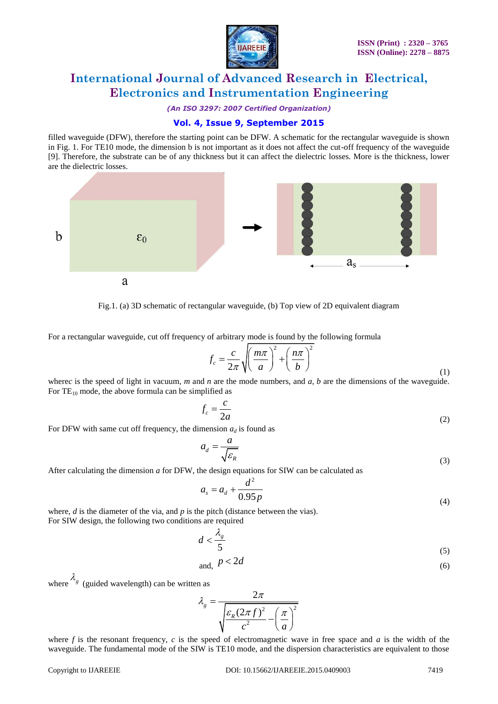

*(An ISO 3297: 2007 Certified Organization)*

## **Vol. 4, Issue 9, September 2015**

filled waveguide (DFW), therefore the starting point can be DFW. A schematic for the rectangular waveguide is shown in Fig. 1. For TE10 mode, the dimension b is not important as it does not affect the cut-off frequency of the waveguide [9]. Therefore, the substrate can be of any thickness but it can affect the dielectric losses. More is the thickness, lower are the dielectric losses.



Fig.1. (a) 3D schematic of rectangular waveguide, (b) Top view of 2D equivalent diagram

For a rectangular waveguide, cut off frequency of arbitrary mode is found by the following formula

$$
f_c = \frac{c}{2\pi} \sqrt{\left(\frac{m\pi}{a}\right)^2 + \left(\frac{n\pi}{b}\right)^2}
$$

where*c* is the speed of light in vacuum, *m* and *n* are the mode numbers, and *a*, *b* are the dimensions of the waveguide. For  $TE_{10}$  mode, the above formula can be simplified as

$$
f_c = \frac{c}{2a} \tag{2}
$$

For DFW with same cut off frequency, the dimension  $a_d$  is found as

$$
a_d = \frac{a}{\sqrt{\varepsilon_R}}
$$
\n(3)

After calculating the dimension *a* for DFW, the design equations for SIW can be calculated as

$$
a_s = a_d + \frac{d^2}{0.95p} \tag{4}
$$

where, *d* is the diameter of the via, and *p* is the pitch (distance between the vias). For SIW design, the following two conditions are required

$$
d < \frac{\lambda_g}{5} \tag{5}
$$

$$
and, \ p < 2d \tag{6}
$$

where  $\lambda_g$  (guided wavelength) can be written as

$$
\lambda_{g} = \frac{2\pi}{\sqrt{\frac{\varepsilon_{R}(2\pi f)^{2}}{c^{2}} - \left(\frac{\pi}{a}\right)^{2}}}
$$

where  $f$  is the resonant frequency,  $c$  is the speed of electromagnetic wave in free space and  $a$  is the width of the waveguide. The fundamental mode of the SIW is TE10 mode, and the dispersion characteristics are equivalent to those

(1)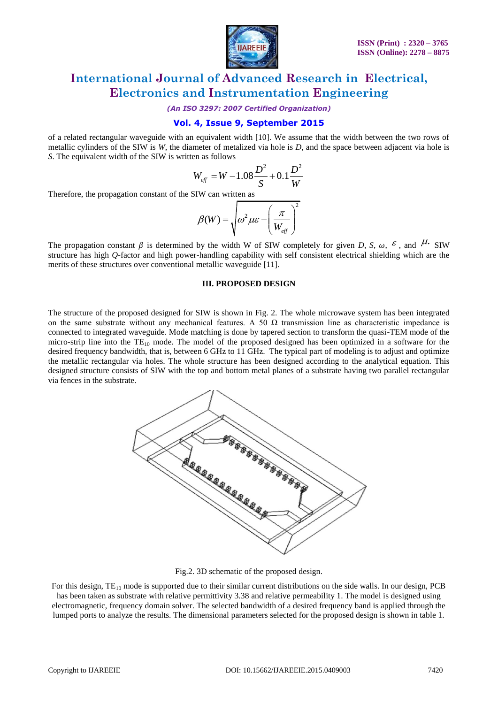

*(An ISO 3297: 2007 Certified Organization)*

## **Vol. 4, Issue 9, September 2015**

of a related rectangular waveguide with an equivalent width [10]. We assume that the width between the two rows of metallic cylinders of the SIW is *W*, the diameter of metalized via hole is *D*, and the space between adjacent via hole is *S*. The equivalent width of the SIW is written as follows

$$
W_{\text{eff}} = W - 1.08 \frac{D^2}{S} + 0.1 \frac{D^2}{W}
$$

Therefore, the propagation constant of the SIW can written as

$$
\beta(W) = \sqrt{\omega^2 \mu \varepsilon - \left(\frac{\pi}{W_{\text{eff}}}\right)^2}
$$

The propagation constant  $\beta$  is determined by the width W of SIW completely for given *D*, *S*,  $\omega$ ,  $\epsilon$ , and  $\mu$ . SIW structure has high *Q*-factor and high power-handling capability with self consistent electrical shielding which are the merits of these structures over conventional metallic waveguide [11].

#### **III. PROPOSED DESIGN**

The structure of the proposed designed for SIW is shown in Fig. 2. The whole microwave system has been integrated on the same substrate without any mechanical features. A 50  $\Omega$  transmission line as characteristic impedance is connected to integrated waveguide. Mode matching is done by tapered section to transform the quasi-TEM mode of the micro-strip line into the  $TE_{10}$  mode. The model of the proposed designed has been optimized in a software for the desired frequency bandwidth, that is, between 6 GHz to 11 GHz. The typical part of modeling is to adjust and optimize the metallic rectangular via holes. The whole structure has been designed according to the analytical equation. This designed structure consists of SIW with the top and bottom metal planes of a substrate having two parallel rectangular via fences in the substrate.



Fig.2. 3D schematic of the proposed design.

For this design,  $TE_{10}$  mode is supported due to their similar current distributions on the side walls. In our design, PCB has been taken as substrate with relative permittivity 3.38 and relative permeability 1. The model is designed using electromagnetic, frequency domain solver. The selected bandwidth of a desired frequency band is applied through the lumped ports to analyze the results. The dimensional parameters selected for the proposed design is shown in table 1.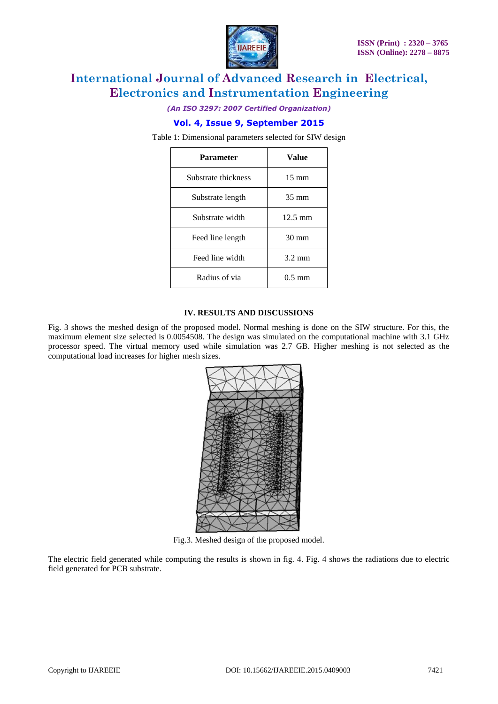

*(An ISO 3297: 2007 Certified Organization)*

## **Vol. 4, Issue 9, September 2015**

Table 1: Dimensional parameters selected for SIW design

| Parameter           | Value             |
|---------------------|-------------------|
| Substrate thickness | $15 \text{ mm}$   |
| Substrate length    | $35 \text{ mm}$   |
| Substrate width     | $12.5 \text{ mm}$ |
| Feed line length    | $30 \text{ mm}$   |
| Feed line width     | $3.2 \text{ mm}$  |
| Radius of via       | $0.5 \text{ mm}$  |

#### **IV. RESULTS AND DISCUSSIONS**

Fig. 3 shows the meshed design of the proposed model. Normal meshing is done on the SIW structure. For this, the maximum element size selected is 0.0054508. The design was simulated on the computational machine with 3.1 GHz processor speed. The virtual memory used while simulation was 2.7 GB. Higher meshing is not selected as the computational load increases for higher mesh sizes.



Fig.3. Meshed design of the proposed model.

The electric field generated while computing the results is shown in fig. 4. Fig. 4 shows the radiations due to electric field generated for PCB substrate.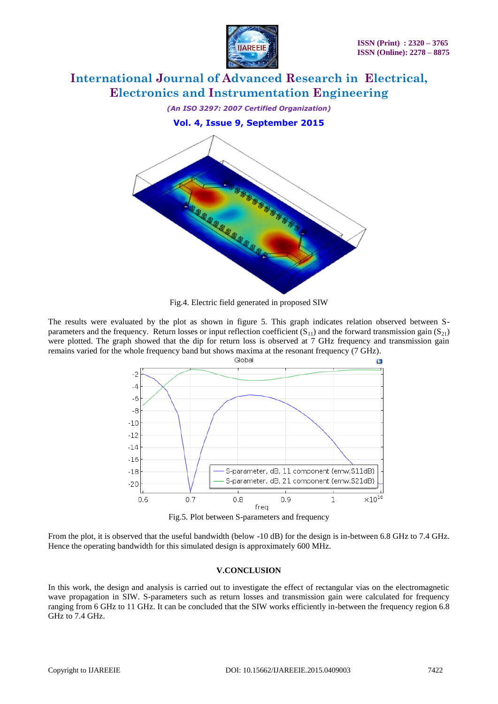



Fig.4. Electric field generated in proposed SIW

The results were evaluated by the plot as shown in figure 5. This graph indicates relation observed between Sparameters and the frequency. Return losses or input reflection coefficient  $(S_{11})$  and the forward transmission gain  $(S_{21})$ were plotted. The graph showed that the dip for return loss is observed at 7 GHz frequency and transmission gain remains varied for the whole frequency band but shows maxima at the resonant frequency (7 GHz).



Fig.5. Plot between S-parameters and frequency

From the plot, it is observed that the useful bandwidth (below -10 dB) for the design is in-between 6.8 GHz to 7.4 GHz. Hence the operating bandwidth for this simulated design is approximately 600 MHz.

### **V.CONCLUSION**

In this work, the design and analysis is carried out to investigate the effect of rectangular vias on the electromagnetic wave propagation in SIW. S-parameters such as return losses and transmission gain were calculated for frequency ranging from 6 GHz to 11 GHz. It can be concluded that the SIW works efficiently in-between the frequency region 6.8 GHz to 7.4 GHz.